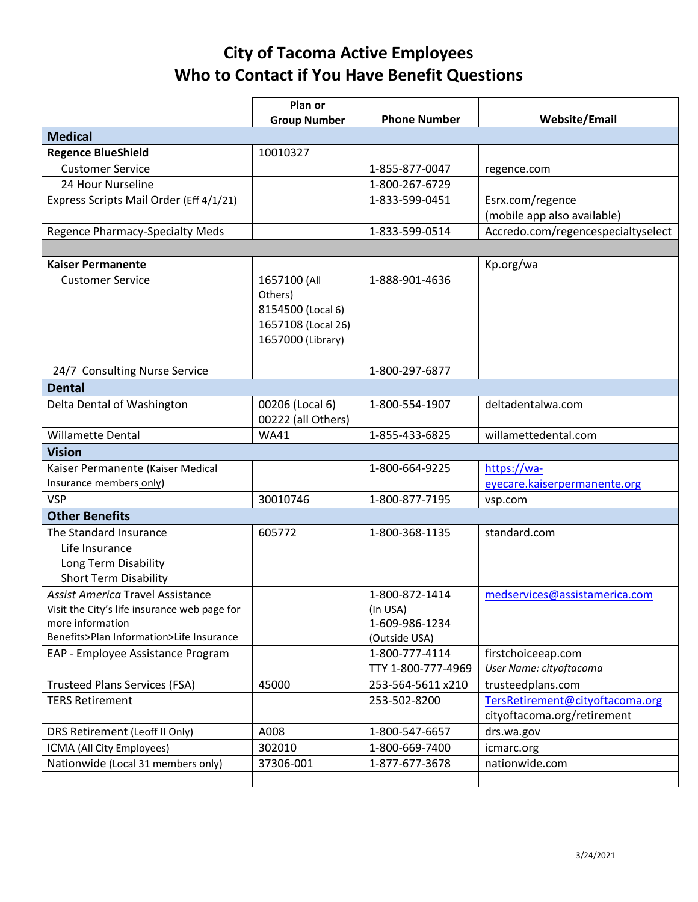## **City of Tacoma Active Employees Who to Contact if You Have Benefit Questions**

|                                                                                                                                                         | Plan or                                                                                 |                                                               |                                                                |
|---------------------------------------------------------------------------------------------------------------------------------------------------------|-----------------------------------------------------------------------------------------|---------------------------------------------------------------|----------------------------------------------------------------|
|                                                                                                                                                         | <b>Group Number</b>                                                                     | <b>Phone Number</b>                                           | <b>Website/Email</b>                                           |
| <b>Medical</b>                                                                                                                                          |                                                                                         |                                                               |                                                                |
| <b>Regence BlueShield</b>                                                                                                                               | 10010327                                                                                |                                                               |                                                                |
| <b>Customer Service</b>                                                                                                                                 |                                                                                         | 1-855-877-0047                                                | regence.com                                                    |
| 24 Hour Nurseline                                                                                                                                       |                                                                                         | 1-800-267-6729                                                |                                                                |
| Express Scripts Mail Order (Eff 4/1/21)                                                                                                                 |                                                                                         | 1-833-599-0451                                                | Esrx.com/regence                                               |
|                                                                                                                                                         |                                                                                         |                                                               | (mobile app also available)                                    |
| Regence Pharmacy-Specialty Meds                                                                                                                         |                                                                                         | 1-833-599-0514                                                | Accredo.com/regencespecialtyselect                             |
|                                                                                                                                                         |                                                                                         |                                                               |                                                                |
| <b>Kaiser Permanente</b>                                                                                                                                |                                                                                         |                                                               | Kp.org/wa                                                      |
| <b>Customer Service</b>                                                                                                                                 | 1657100 (All<br>Others)<br>8154500 (Local 6)<br>1657108 (Local 26)<br>1657000 (Library) | 1-888-901-4636                                                |                                                                |
|                                                                                                                                                         |                                                                                         | 1-800-297-6877                                                |                                                                |
| 24/7 Consulting Nurse Service                                                                                                                           |                                                                                         |                                                               |                                                                |
| <b>Dental</b>                                                                                                                                           |                                                                                         |                                                               |                                                                |
| Delta Dental of Washington                                                                                                                              | 00206 (Local 6)<br>00222 (all Others)                                                   | 1-800-554-1907                                                | deltadentalwa.com                                              |
| <b>Willamette Dental</b>                                                                                                                                | <b>WA41</b>                                                                             | 1-855-433-6825                                                | willamettedental.com                                           |
| <b>Vision</b>                                                                                                                                           |                                                                                         |                                                               |                                                                |
| Kaiser Permanente (Kaiser Medical                                                                                                                       |                                                                                         | 1-800-664-9225                                                | https://wa-                                                    |
| Insurance members only)                                                                                                                                 |                                                                                         |                                                               | eyecare.kaiserpermanente.org                                   |
| <b>VSP</b>                                                                                                                                              | 30010746                                                                                | 1-800-877-7195                                                | vsp.com                                                        |
| <b>Other Benefits</b>                                                                                                                                   |                                                                                         |                                                               |                                                                |
| The Standard Insurance<br>Life Insurance<br>Long Term Disability<br><b>Short Term Disability</b>                                                        | 605772                                                                                  | 1-800-368-1135                                                | standard.com                                                   |
| <b>Assist America Travel Assistance</b><br>Visit the City's life insurance web page for<br>more information<br>Benefits>Plan Information>Life Insurance |                                                                                         | 1-800-872-1414<br>(In USA)<br>1-609-986-1234<br>(Outside USA) | medservices@assistamerica.com                                  |
| EAP - Employee Assistance Program                                                                                                                       |                                                                                         | 1-800-777-4114<br>TTY 1-800-777-4969                          | firstchoiceeap.com<br>User Name: cityoftacoma                  |
| <b>Trusteed Plans Services (FSA)</b>                                                                                                                    | 45000                                                                                   | 253-564-5611 x210                                             | trusteedplans.com                                              |
| <b>TERS Retirement</b>                                                                                                                                  |                                                                                         | 253-502-8200                                                  | TersRetirement@cityoftacoma.org<br>cityoftacoma.org/retirement |
| DRS Retirement (Leoff II Only)                                                                                                                          | A008                                                                                    | 1-800-547-6657                                                | drs.wa.gov                                                     |
| ICMA (All City Employees)                                                                                                                               | 302010                                                                                  | 1-800-669-7400                                                | icmarc.org                                                     |
| Nationwide (Local 31 members only)                                                                                                                      | 37306-001                                                                               | 1-877-677-3678                                                | nationwide.com                                                 |
|                                                                                                                                                         |                                                                                         |                                                               |                                                                |